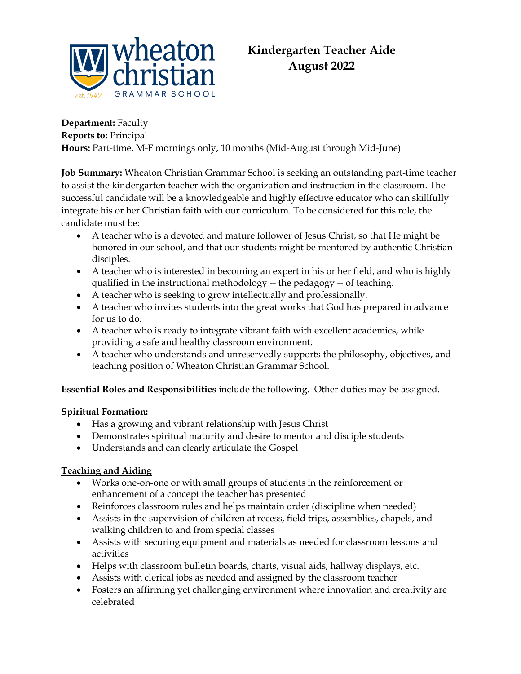

# **Department:** Faculty

**Reports to:** Principal

**Hours:** Part-time, M-F mornings only, 10 months (Mid-August through Mid-June)

**Job Summary:** Wheaton Christian Grammar School is seeking an outstanding part-time teacher to assist the kindergarten teacher with the organization and instruction in the classroom. The successful candidate will be a knowledgeable and highly effective educator who can skillfully integrate his or her Christian faith with our curriculum. To be considered for this role, the candidate must be:

- A teacher who is a devoted and mature follower of Jesus Christ, so that He might be honored in our school, and that our students might be mentored by authentic Christian disciples.
- A teacher who is interested in becoming an expert in his or her field, and who is highly qualified in the instructional methodology -- the pedagogy -- of teaching.
- A teacher who is seeking to grow intellectually and professionally.
- A teacher who invites students into the great works that God has prepared in advance for us to do.
- A teacher who is ready to integrate vibrant faith with excellent academics, while providing a safe and healthy classroom environment.
- A teacher who understands and unreservedly supports the philosophy, objectives, and teaching position of Wheaton Christian Grammar School.

**Essential Roles and Responsibilities** include the following. Other duties may be assigned.

## **Spiritual Formation:**

- Has a growing and vibrant relationship with Jesus Christ
- Demonstrates spiritual maturity and desire to mentor and disciple students
- Understands and can clearly articulate the Gospel

## **Teaching and Aiding**

- Works one-on-one or with small groups of students in the reinforcement or enhancement of a concept the teacher has presented
- Reinforces classroom rules and helps maintain order (discipline when needed)
- Assists in the supervision of children at recess, field trips, assemblies, chapels, and walking children to and from special classes
- Assists with securing equipment and materials as needed for classroom lessons and activities
- Helps with classroom bulletin boards, charts, visual aids, hallway displays, etc.
- Assists with clerical jobs as needed and assigned by the classroom teacher
- Fosters an affirming yet challenging environment where innovation and creativity are celebrated